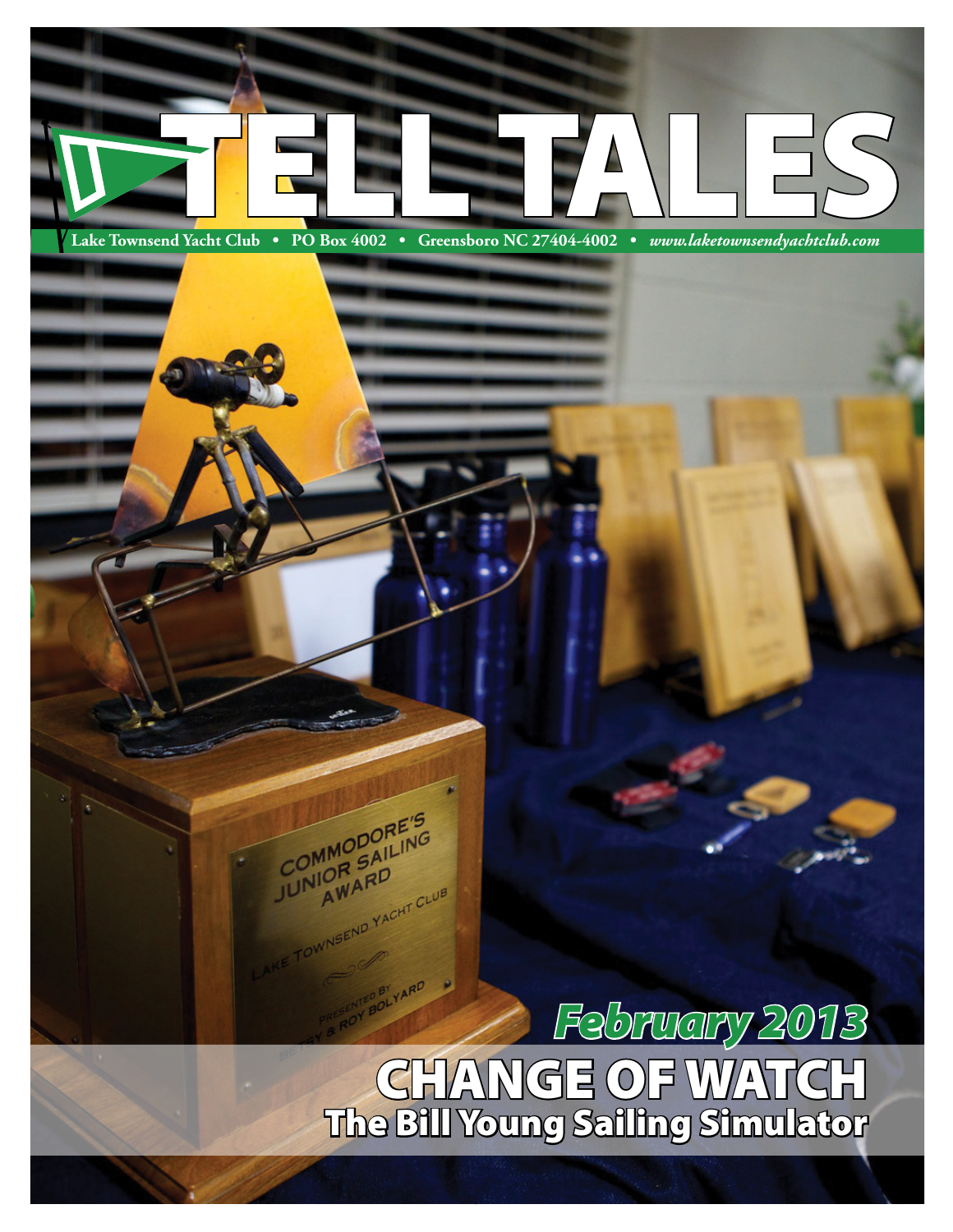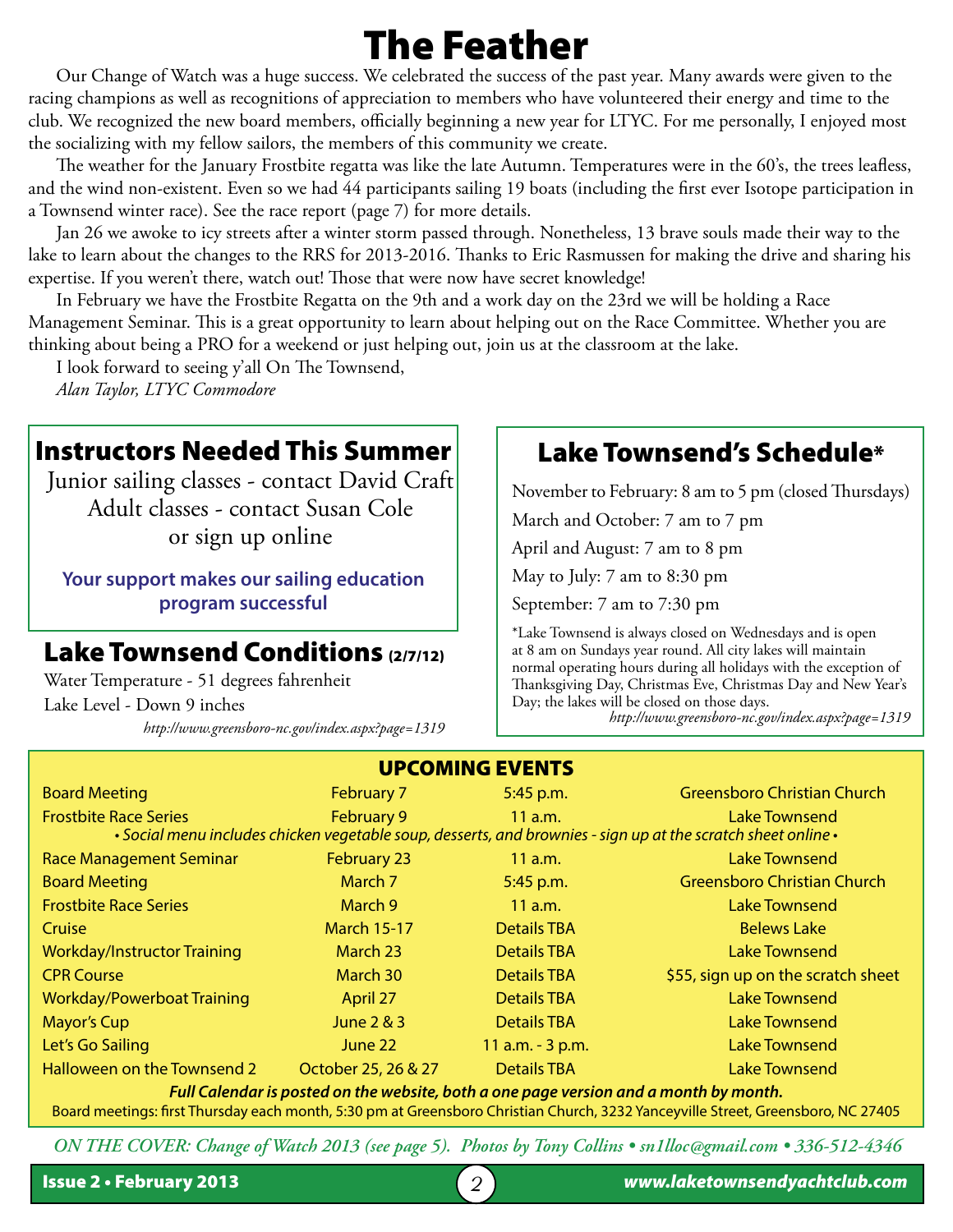# The Feather

Our Change of Watch was a huge success. We celebrated the success of the past year. Many awards were given to the racing champions as well as recognitions of appreciation to members who have volunteered their energy and time to the club. We recognized the new board members, officially beginning a new year for LTYC. For me personally, I enjoyed most the socializing with my fellow sailors, the members of this community we create.

The weather for the January Frostbite regatta was like the late Autumn. Temperatures were in the 60's, the trees leafless, and the wind non-existent. Even so we had 44 participants sailing 19 boats (including the first ever Isotope participation in a Townsend winter race). See the race report (page 7) for more details.

Jan 26 we awoke to icy streets after a winter storm passed through. Nonetheless, 13 brave souls made their way to the lake to learn about the changes to the RRS for 2013-2016. Thanks to Eric Rasmussen for making the drive and sharing his expertise. If you weren't there, watch out! Those that were now have secret knowledge!

In February we have the Frostbite Regatta on the 9th and a work day on the 23rd we will be holding a Race Management Seminar. This is a great opportunity to learn about helping out on the Race Committee. Whether you are thinking about being a PRO for a weekend or just helping out, join us at the classroom at the lake.

I look forward to seeing y'all On The Townsend,

*Alan Taylor, LTYC Commodore*

### Instructors Needed This Summer

Junior sailing classes - contact David Craft Adult classes - contact Susan Cole or sign up online

**Your support makes our sailing education program successful**

### Lake Townsend Conditions (2/7/12)

Water Temperature - 51 degrees fahrenheit Lake Level - Down 9 inches *http://www.greensboro-nc.gov/index.aspx?page=1319*

# Lake Townsend's Schedule\*

November to February: 8 am to 5 pm (closed Thursdays)

March and October: 7 am to 7 pm

April and August: 7 am to 8 pm

May to July: 7 am to 8:30 pm

September: 7 am to 7:30 pm

\*Lake Townsend is always closed on Wednesdays and is open at 8 am on Sundays year round. All city lakes will maintain normal operating hours during all holidays with the exception of Thanksgiving Day, Christmas Eve, Christmas Day and New Year's Day; the lakes will be closed on those days.

*http://www.greensboro-nc.gov/index.aspx?page=1319*

| <b>UPCOMING EVENTS</b>                                                                                        |                     |                    |                                    |  |  |
|---------------------------------------------------------------------------------------------------------------|---------------------|--------------------|------------------------------------|--|--|
| <b>Board Meeting</b>                                                                                          | February 7          | 5:45 p.m.          | <b>Greensboro Christian Church</b> |  |  |
| <b>Frostbite Race Series</b>                                                                                  | February 9          | 11 a.m.            | <b>Lake Townsend</b>               |  |  |
| • Social menu includes chicken vegetable soup, desserts, and brownies - sign up at the scratch sheet online • |                     |                    |                                    |  |  |
| <b>Race Management Seminar</b>                                                                                | <b>February 23</b>  | $11$ a.m.          | Lake Townsend                      |  |  |
| <b>Board Meeting</b>                                                                                          | March 7             | 5:45 p.m.          | <b>Greensboro Christian Church</b> |  |  |
| <b>Frostbite Race Series</b>                                                                                  | March 9             | 11 a.m.            | <b>Lake Townsend</b>               |  |  |
| Cruise                                                                                                        | <b>March 15-17</b>  | <b>Details TBA</b> | <b>Belews Lake</b>                 |  |  |
| <b>Workday/Instructor Training</b>                                                                            | March 23            | <b>Details TBA</b> | Lake Townsend                      |  |  |
| <b>CPR Course</b>                                                                                             | March 30            | <b>Details TBA</b> | \$55, sign up on the scratch sheet |  |  |
| <b>Workday/Powerboat Training</b>                                                                             | April 27            | <b>Details TBA</b> | <b>Lake Townsend</b>               |  |  |
| <b>Mayor's Cup</b>                                                                                            | June 2 & 3          | <b>Details TBA</b> | <b>Lake Townsend</b>               |  |  |
| Let's Go Sailing                                                                                              | June 22             | 11 a.m. - 3 p.m.   | <b>Lake Townsend</b>               |  |  |
| Halloween on the Townsend 2                                                                                   | October 25, 26 & 27 | <b>Details TBA</b> | <b>Lake Townsend</b>               |  |  |
| Full Calendar is posted on the website, both a one page version and a month by month.                         |                     |                    |                                    |  |  |

#### Board meetings: first Thursday each month, 5:30 pm at Greensboro Christian Church, 3232 Yanceyville Street, Greensboro, NC 27405

*ON THE COVER: Change of Watch 2013 (see page 5). Photos by Tony Collins • sn1lloc@gmail.com • 336-512-4346*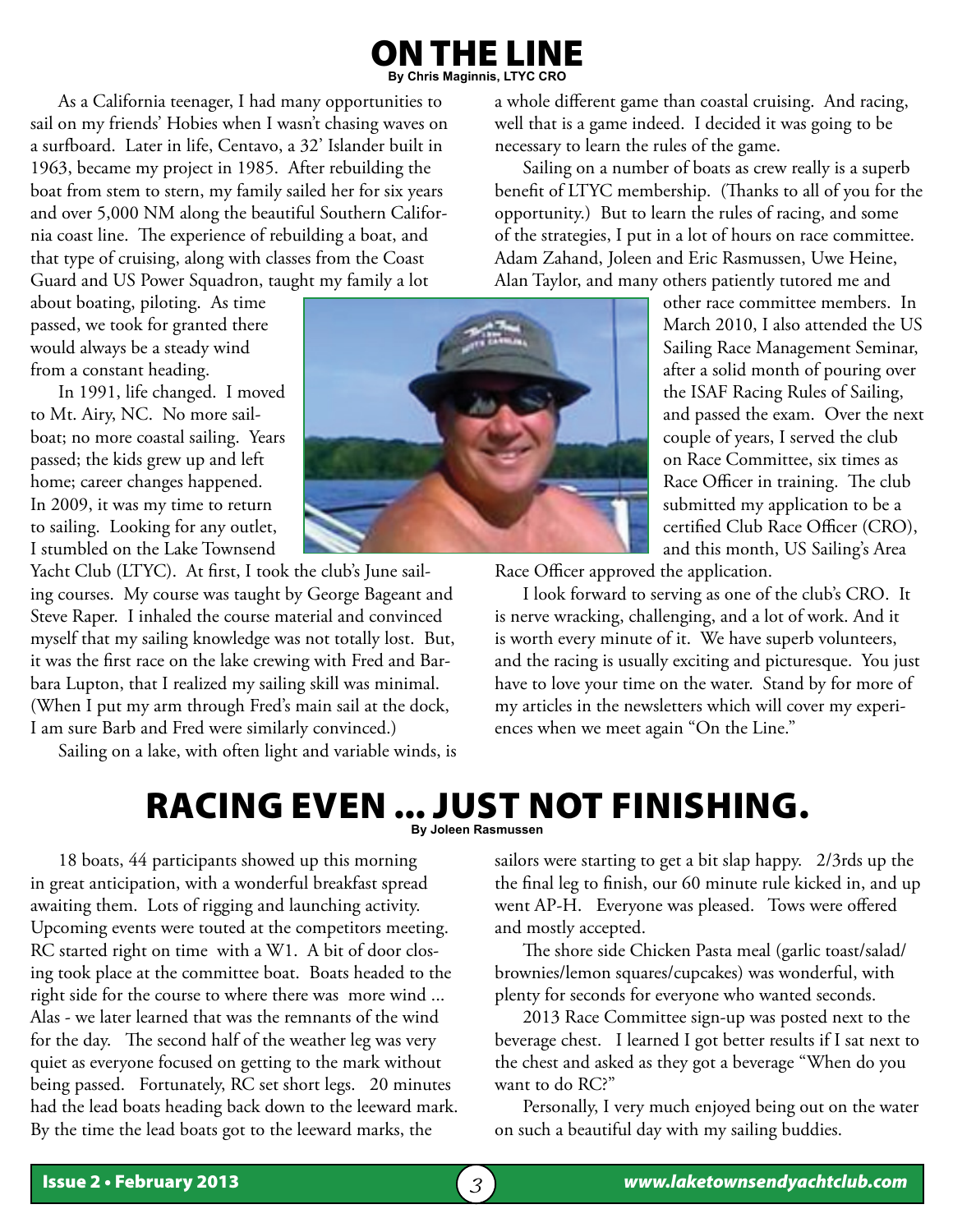#### I THE LINE **By Chris Maginnis, LTYC CRO**

As a California teenager, I had many opportunities to sail on my friends' Hobies when I wasn't chasing waves on a surfboard. Later in life, Centavo, a 32' Islander built in 1963, became my project in 1985. After rebuilding the boat from stem to stern, my family sailed her for six years and over 5,000 NM along the beautiful Southern California coast line. The experience of rebuilding a boat, and that type of cruising, along with classes from the Coast Guard and US Power Squadron, taught my family a lot

about boating, piloting. As time passed, we took for granted there would always be a steady wind from a constant heading.

In 1991, life changed. I moved to Mt. Airy, NC. No more sailboat; no more coastal sailing. Years passed; the kids grew up and left home; career changes happened. In 2009, it was my time to return to sailing. Looking for any outlet, I stumbled on the Lake Townsend

Yacht Club (LTYC). At first, I took the club's June sailing courses. My course was taught by George Bageant and Steve Raper. I inhaled the course material and convinced myself that my sailing knowledge was not totally lost. But, it was the first race on the lake crewing with Fred and Barbara Lupton, that I realized my sailing skill was minimal. (When I put my arm through Fred's main sail at the dock, I am sure Barb and Fred were similarly convinced.)

Sailing on a lake, with often light and variable winds, is



a whole different game than coastal cruising. And racing, well that is a game indeed. I decided it was going to be necessary to learn the rules of the game.

Sailing on a number of boats as crew really is a superb benefit of LTYC membership. (Thanks to all of you for the opportunity.) But to learn the rules of racing, and some of the strategies, I put in a lot of hours on race committee. Adam Zahand, Joleen and Eric Rasmussen, Uwe Heine, Alan Taylor, and many others patiently tutored me and

other race committee members. In March 2010, I also attended the US Sailing Race Management Seminar, after a solid month of pouring over the ISAF Racing Rules of Sailing, and passed the exam. Over the next couple of years, I served the club on Race Committee, six times as Race Officer in training. The club submitted my application to be a certified Club Race Officer (CRO), and this month, US Sailing's Area

Race Officer approved the application.

I look forward to serving as one of the club's CRO. It is nerve wracking, challenging, and a lot of work. And it is worth every minute of it. We have superb volunteers, and the racing is usually exciting and picturesque. You just have to love your time on the water. Stand by for more of my articles in the newsletters which will cover my experiences when we meet again "On the Line."

#### Racing even ... just not finishing. **By Joleen Rasmussen**

18 boats, 44 participants showed up this morning

in great anticipation, with a wonderful breakfast spread awaiting them. Lots of rigging and launching activity. Upcoming events were touted at the competitors meeting. RC started right on time with a W1. A bit of door closing took place at the committee boat. Boats headed to the right side for the course to where there was more wind ... Alas - we later learned that was the remnants of the wind for the day. The second half of the weather leg was very quiet as everyone focused on getting to the mark without being passed. Fortunately, RC set short legs. 20 minutes had the lead boats heading back down to the leeward mark. By the time the lead boats got to the leeward marks, the

sailors were starting to get a bit slap happy. 2/3rds up the the final leg to finish, our 60 minute rule kicked in, and up went AP-H. Everyone was pleased. Tows were offered and mostly accepted.

The shore side Chicken Pasta meal (garlic toast/salad/ brownies/lemon squares/cupcakes) was wonderful, with plenty for seconds for everyone who wanted seconds.

2013 Race Committee sign-up was posted next to the beverage chest. I learned I got better results if I sat next to the chest and asked as they got a beverage "When do you want to do RC?"

Personally, I very much enjoyed being out on the water on such a beautiful day with my sailing buddies.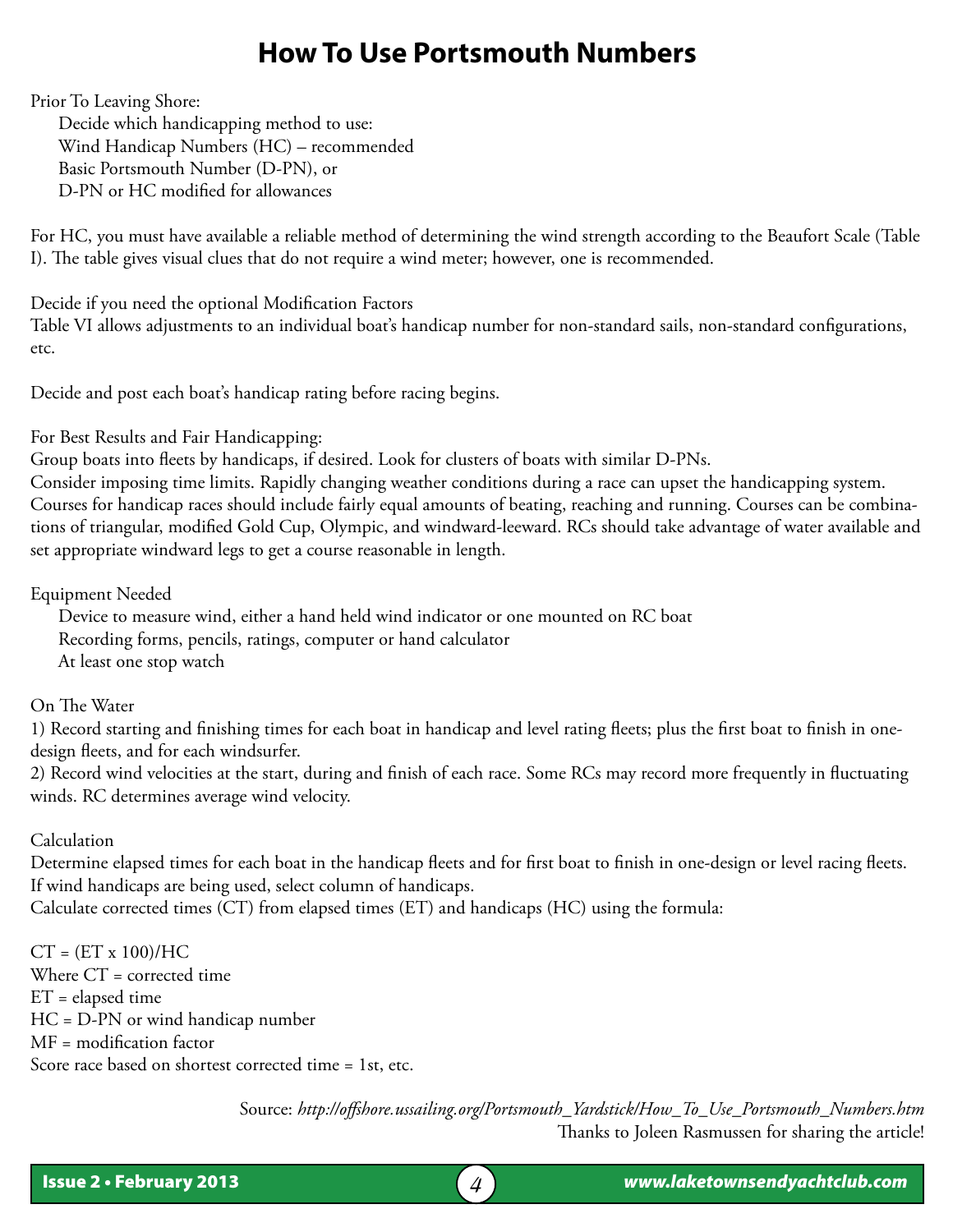### **How To Use Portsmouth Numbers**

Prior To Leaving Shore:

Decide which handicapping method to use: Wind Handicap Numbers (HC) – recommended Basic Portsmouth Number (D-PN), or D-PN or HC modified for allowances

For HC, you must have available a reliable method of determining the wind strength according to the Beaufort Scale (Table I). The table gives visual clues that do not require a wind meter; however, one is recommended.

Decide if you need the optional Modification Factors

Table VI allows adjustments to an individual boat's handicap number for non-standard sails, non-standard configurations, etc.

Decide and post each boat's handicap rating before racing begins.

For Best Results and Fair Handicapping:

Group boats into fleets by handicaps, if desired. Look for clusters of boats with similar D-PNs.

Consider imposing time limits. Rapidly changing weather conditions during a race can upset the handicapping system. Courses for handicap races should include fairly equal amounts of beating, reaching and running. Courses can be combinations of triangular, modified Gold Cup, Olympic, and windward-leeward. RCs should take advantage of water available and set appropriate windward legs to get a course reasonable in length.

Equipment Needed

Device to measure wind, either a hand held wind indicator or one mounted on RC boat Recording forms, pencils, ratings, computer or hand calculator At least one stop watch

On The Water

1) Record starting and finishing times for each boat in handicap and level rating fleets; plus the first boat to finish in onedesign fleets, and for each windsurfer.

2) Record wind velocities at the start, during and finish of each race. Some RCs may record more frequently in fluctuating winds. RC determines average wind velocity.

#### Calculation

Determine elapsed times for each boat in the handicap fleets and for first boat to finish in one-design or level racing fleets. If wind handicaps are being used, select column of handicaps.

Calculate corrected times (CT) from elapsed times (ET) and handicaps (HC) using the formula:

 $CT = (ET \times 100)/HC$ Where CT = corrected time ET = elapsed time HC = D-PN or wind handicap number MF = modification factor Score race based on shortest corrected time = 1st, etc.

> Source: *http://offshore.ussailing.org/Portsmouth\_Yardstick/How\_To\_Use\_Portsmouth\_Numbers.htm* Thanks to Joleen Rasmussen for sharing the article!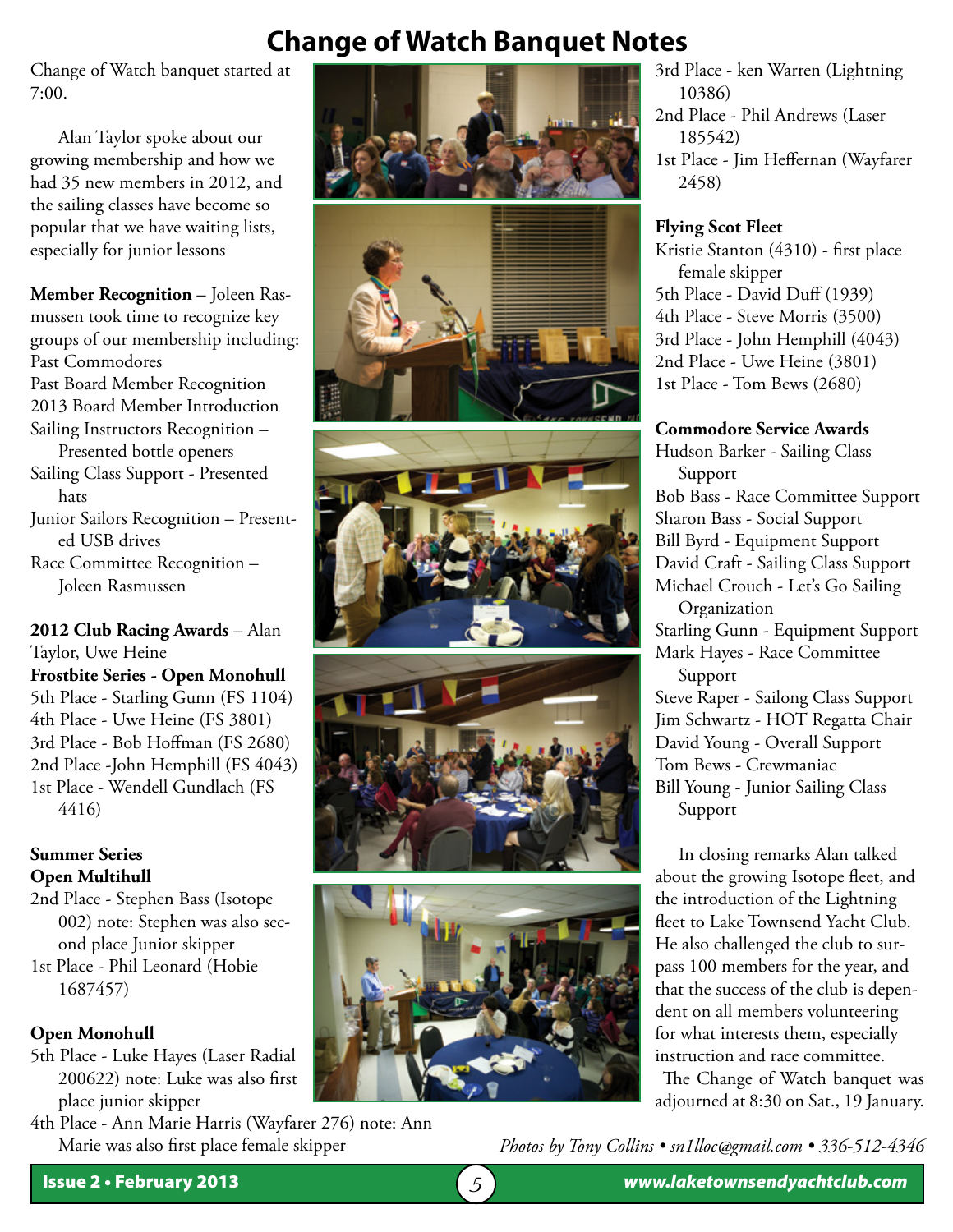# **Change of Watch Banquet Notes**

Change of Watch banquet started at 7:00.

Alan Taylor spoke about our growing membership and how we had 35 new members in 2012, and the sailing classes have become so popular that we have waiting lists, especially for junior lessons

**Member Recognition** – Joleen Rasmussen took time to recognize key groups of our membership including: Past Commodores Past Board Member Recognition 2013 Board Member Introduction Sailing Instructors Recognition – Presented bottle openers Sailing Class Support - Presented hats Junior Sailors Recognition – Presented USB drives Race Committee Recognition – Joleen Rasmussen

**2012 Club Racing Awards** – Alan Taylor, Uwe Heine **Frostbite Series - Open Monohull** 5th Place - Starling Gunn (FS 1104) 4th Place - Uwe Heine (FS 3801) 3rd Place - Bob Hoffman (FS 2680) 2nd Place -John Hemphill (FS 4043) 1st Place - Wendell Gundlach (FS 4416)

#### **Summer Series Open Multihull**

2nd Place - Stephen Bass (Isotope 002) note: Stephen was also second place Junior skipper

1st Place - Phil Leonard (Hobie 1687457)

#### **Open Monohull**

5th Place - Luke Hayes (Laser Radial 200622) note: Luke was also first place junior skipper

4th Place - Ann Marie Harris (Wayfarer 276) note: Ann Marie was also first place female skipper









3rd Place - ken Warren (Lightning 10386) 2nd Place - Phil Andrews (Laser 185542) 1st Place - Jim Heffernan (Wayfarer 2458)

#### **Flying Scot Fleet**

Kristie Stanton (4310) - first place female skipper 5th Place - David Duff (1939) 4th Place - Steve Morris (3500) 3rd Place - John Hemphill (4043) 2nd Place - Uwe Heine (3801) 1st Place - Tom Bews (2680)

#### **Commodore Service Awards**

Hudson Barker - Sailing Class Support Bob Bass - Race Committee Support Sharon Bass - Social Support Bill Byrd - Equipment Support David Craft - Sailing Class Support Michael Crouch - Let's Go Sailing Organization Starling Gunn - Equipment Support Mark Hayes - Race Committee Support Steve Raper - Sailong Class Support Jim Schwartz - HOT Regatta Chair David Young - Overall Support Tom Bews - Crewmaniac Bill Young - Junior Sailing Class Support

 In closing remarks Alan talked about the growing Isotope fleet, and the introduction of the Lightning fleet to Lake Townsend Yacht Club. He also challenged the club to surpass 100 members for the year, and that the success of the club is dependent on all members volunteering for what interests them, especially instruction and race committee.

The Change of Watch banquet was adjourned at 8:30 on Sat., 19 January.

*Photos by Tony Collins • sn1lloc@gmail.com • 336-512-4346*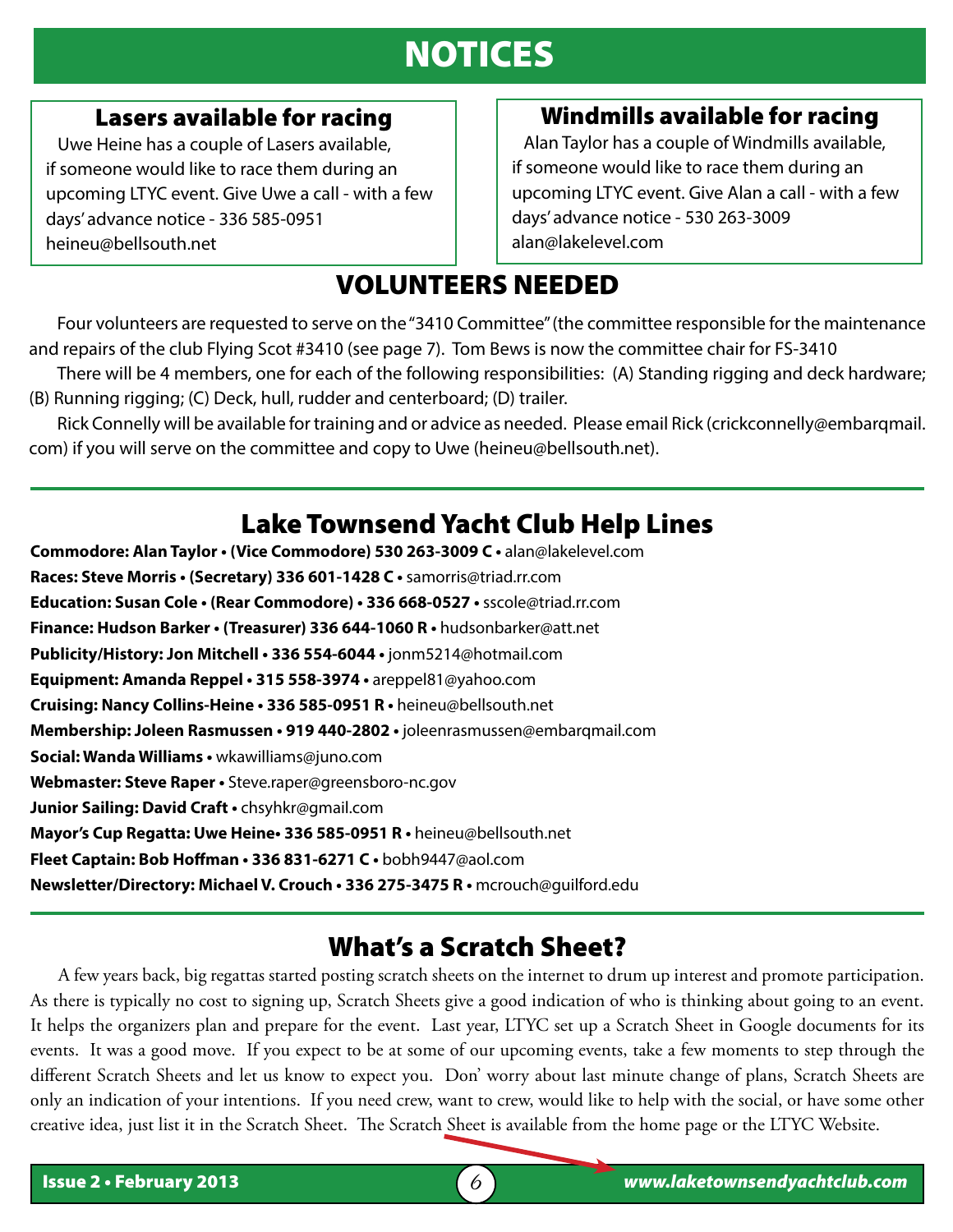# NOTICES

#### Lasers available for racing

 Uwe Heine has a couple of Lasers available, if someone would like to race them during an upcoming LTYC event. Give Uwe a call - with a few days' advance notice - 336 585-0951 heineu@bellsouth.net

#### Windmills available for racing

 Alan Taylor has a couple of Windmills available, if someone would like to race them during an upcoming LTYC event. Give Alan a call - with a few days' advance notice - 530 263-3009 alan@lakelevel.com

## VOLUNTEERS NEEDED

Four volunteers are requested to serve on the "3410 Committee" (the committee responsible for the maintenance and repairs of the club Flying Scot #3410 (see page 7). Tom Bews is now the committee chair for FS-3410

There will be 4 members, one for each of the following responsibilities: (A) Standing rigging and deck hardware; (B) Running rigging; (C) Deck, hull, rudder and centerboard; (D) trailer.

Rick Connelly will be available for training and or advice as needed. Please email Rick (crickconnelly@embarqmail. com) if you will serve on the committee and copy to Uwe (heineu@bellsouth.net).

### Lake Townsend Yacht Club Help Lines

**Commodore: Alan Taylor • (Vice Commodore) 530 263-3009 C •** alan@lakelevel.com **Races: Steve Morris • (Secretary) 336 601-1428 C •** samorris@triad.rr.com **Education: Susan Cole • (Rear Commodore) • 336 668-0527 •** sscole@triad.rr.com **Finance: Hudson Barker • (Treasurer) 336 644-1060 R •** hudsonbarker@att.net **Publicity/History: Jon Mitchell • 336 554-6044 •** jonm5214@hotmail.com **Equipment: Amanda Reppel • 315 558-3974 •** areppel81@yahoo.com **Cruising: Nancy Collins-Heine • 336 585-0951 R •** heineu@bellsouth.net **Membership: Joleen Rasmussen • 919 440-2802 •** joleenrasmussen@embarqmail.com **Social: Wanda Williams •** wkawilliams@juno.com **Webmaster: Steve Raper •** Steve.raper@greensboro-nc.gov **Junior Sailing: David Craft •** chsyhkr@gmail.com **Mayor's Cup Regatta: Uwe Heine• 336 585-0951 R •** heineu@bellsouth.net **Fleet Captain: Bob Hoffman • 336 831-6271 C •** bobh9447@aol.com **Newsletter/Directory: Michael V. Crouch • 336 275-3475 R •** mcrouch@guilford.edu

### What's a Scratch Sheet?

 $\overline{a}$ 

A few years back, big regattas started posting scratch sheets on the internet to drum up interest and promote participation. As there is typically no cost to signing up, Scratch Sheets give a good indication of who is thinking about going to an event. It helps the organizers plan and prepare for the event. Last year, LTYC set up a Scratch Sheet in Google documents for its events. It was a good move. If you expect to be at some of our upcoming events, take a few moments to step through the different Scratch Sheets and let us know to expect you. Don' worry about last minute change of plans, Scratch Sheets are only an indication of your intentions. If you need crew, want to crew, would like to help with the social, or have some other creative idea, just list it in the Scratch Sheet. The Scratch Sheet is available from the home page or the LTYC Website.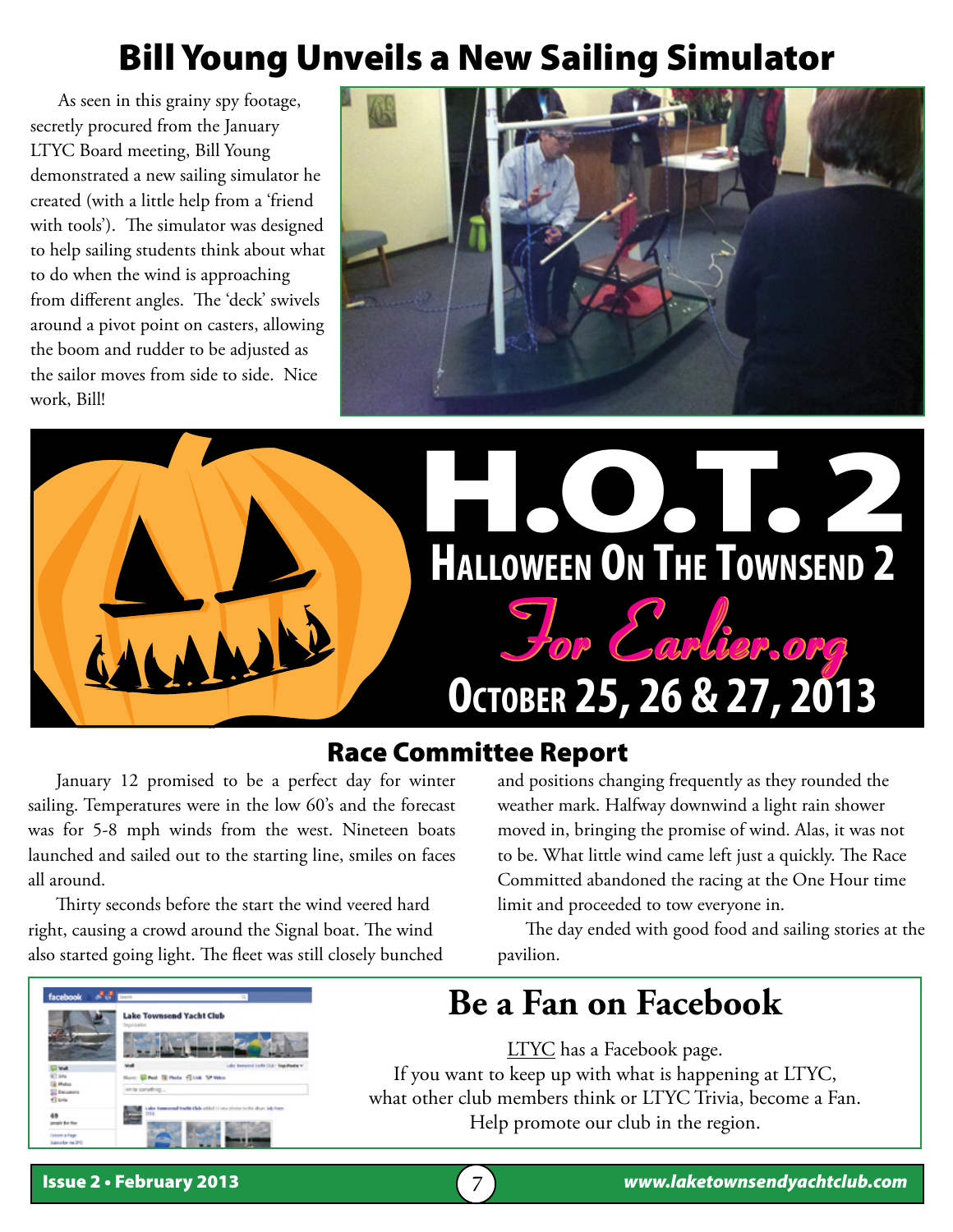# Bill Young Unveils a New Sailing Simulator

 As seen in this grainy spy footage, secretly procured from the January LTYC Board meeting, Bill Young demonstrated a new sailing simulator he created (with a little help from a 'friend with tools'). The simulator was designed to help sailing students think about what to do when the wind is approaching from different angles. The 'deck' swivels around a pivot point on casters, allowing the boom and rudder to be adjusted as the sailor moves from side to side. Nice work, Bill!





# Race Committee Report

January 12 promised to be a perfect day for winter sailing. Temperatures were in the low 60's and the forecast was for 5-8 mph winds from the west. Nineteen boats launched and sailed out to the starting line, smiles on faces all around.

Thirty seconds before the start the wind veered hard right, causing a crowd around the Signal boat. The wind also started going light. The fleet was still closely bunched

and positions changing frequently as they rounded the weather mark. Halfway downwind a light rain shower moved in, bringing the promise of wind. Alas, it was not to be. What little wind came left just a quickly. The Race Committed abandoned the racing at the One Hour time limit and proceeded to tow everyone in.

The day ended with good food and sailing stories at the pavilion.

# **Be a Fan on Facebook**

LTYC has a Facebook page. If you want to keep up with what is happening at LTYC, what other club members think or LTYC Trivia, become a Fan. Help promote our club in the region.

**Lake Townsend Yacht Clu** 

**School Plane Str**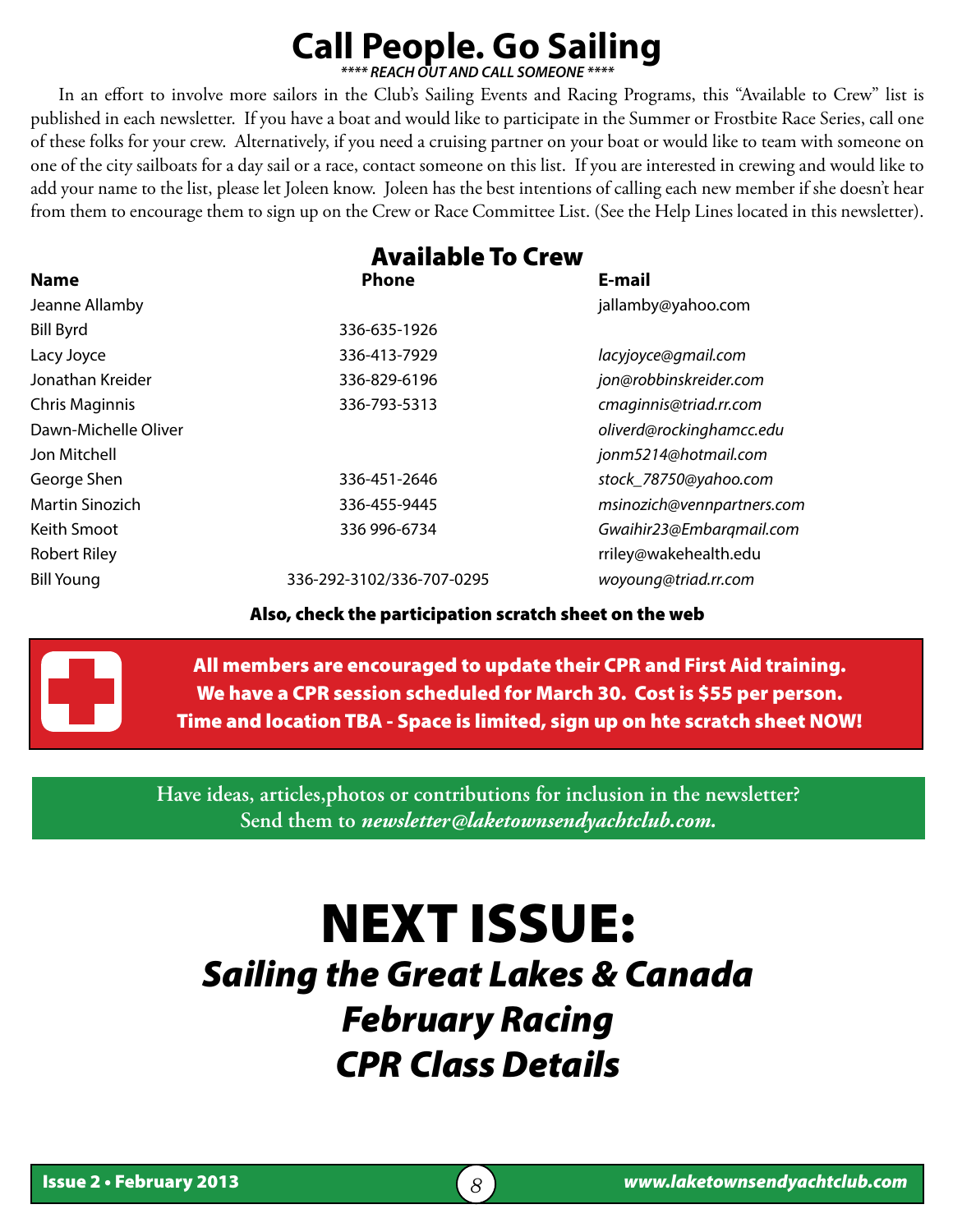#### **Call People. Go Sailing** *\*\*\*\* REACH OUT AND CALL SOMEONE \*\*\*\**

In an effort to involve more sailors in the Club's Sailing Events and Racing Programs, this "Available to Crew" list is published in each newsletter. If you have a boat and would like to participate in the Summer or Frostbite Race Series, call one of these folks for your crew. Alternatively, if you need a cruising partner on your boat or would like to team with someone on one of the city sailboats for a day sail or a race, contact someone on this list. If you are interested in crewing and would like to add your name to the list, please let Joleen know. Joleen has the best intentions of calling each new member if she doesn't hear from them to encourage them to sign up on the Crew or Race Committee List. (See the Help Lines located in this newsletter).

|                        | <b>Available To Crew</b>  |                            |
|------------------------|---------------------------|----------------------------|
| <b>Name</b>            | <b>Phone</b>              | E-mail                     |
| Jeanne Allamby         |                           | jallamby@yahoo.com         |
| <b>Bill Byrd</b>       | 336-635-1926              |                            |
| Lacy Joyce             | 336-413-7929              | lacyjoyce@gmail.com        |
| Jonathan Kreider       | 336-829-6196              | jon@robbinskreider.com     |
| Chris Maginnis         | 336-793-5313              | cmaginnis@triad.rr.com     |
| Dawn-Michelle Oliver   |                           | oliverd@rockinghamcc.edu   |
| Jon Mitchell           |                           | jonm5214@hotmail.com       |
| George Shen            | 336-451-2646              | stock_78750@yahoo.com      |
| <b>Martin Sinozich</b> | 336-455-9445              | msinozich@vennpartners.com |
| Keith Smoot            | 336 996-6734              | Gwaihir23@Embargmail.com   |
| <b>Robert Riley</b>    |                           | rriley@wakehealth.edu      |
| <b>Bill Young</b>      | 336-292-3102/336-707-0295 | woyoung@triad.rr.com       |

Also, check the participation scratch sheet on the web



All members are encouraged to update their CPR and First Aid training. We have a CPR session scheduled for March 30. Cost is \$55 per person. Time and location TBA - Space is limited, sign up on hte scratch sheet NOW!

**Have ideas, articles,photos or contributions for inclusion in the newsletter? Send them to** *newsletter@laketownsendyachtclub.com.*

# NEXT ISSUE: *Sailing the Great Lakes & Canada February Racing CPR Class Details*